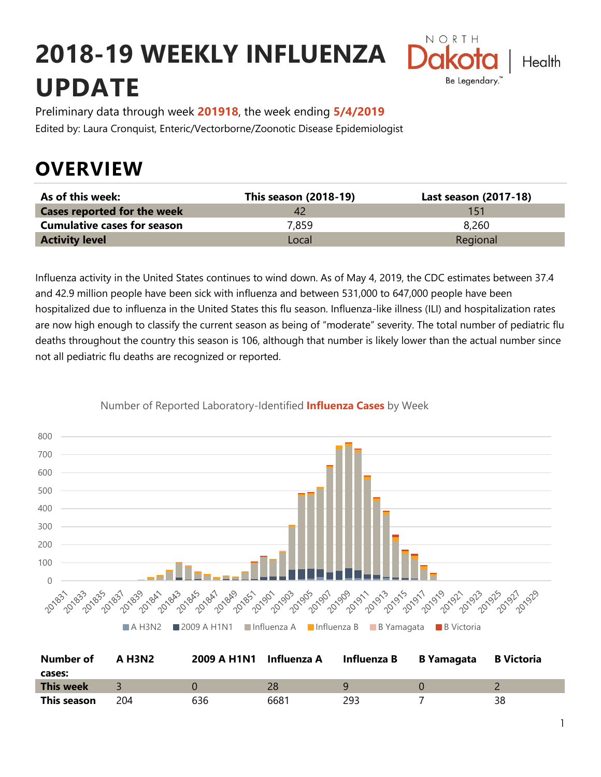# **2018-19 WEEKLY INFLUENZA UPDATE**



Preliminary data through week **201918**, the week ending **5/4/2019** Edited by: Laura Cronquist, Enteric/Vectorborne/Zoonotic Disease Epidemiologist

# **OVERVIEW**

| As of this week:                   | This season (2018-19) | Last season (2017-18) |
|------------------------------------|-----------------------|-----------------------|
| <b>Cases reported for the week</b> |                       | 151                   |
| <b>Cumulative cases for season</b> | 7.859                 | 8.260                 |
| <b>Activity level</b>              | Local                 | Regional              |

Influenza activity in the United States continues to wind down. As of May 4, 2019, the CDC estimates between 37.4 and 42.9 million people have been sick with influenza and between 531,000 to 647,000 people have been hospitalized due to influenza in the United States this flu season. Influenza-like illness (ILI) and hospitalization rates are now high enough to classify the current season as being of "moderate" severity. The total number of pediatric flu deaths throughout the country this season is 106, although that number is likely lower than the actual number since not all pediatric flu deaths are recognized or reported.



Number of Reported Laboratory-Identified **Influenza Cases** by Week

| Number of        | A H3N2 | 2009 A H1N1 | Influenza A | Influenza B | <b>B</b> Yamagata | <b>B</b> Victoria |
|------------------|--------|-------------|-------------|-------------|-------------------|-------------------|
| cases:           |        |             |             |             |                   |                   |
| <b>This week</b> |        |             | 28          |             |                   |                   |
| This season      | 204    | 636         | 6681        | 293         |                   | 38                |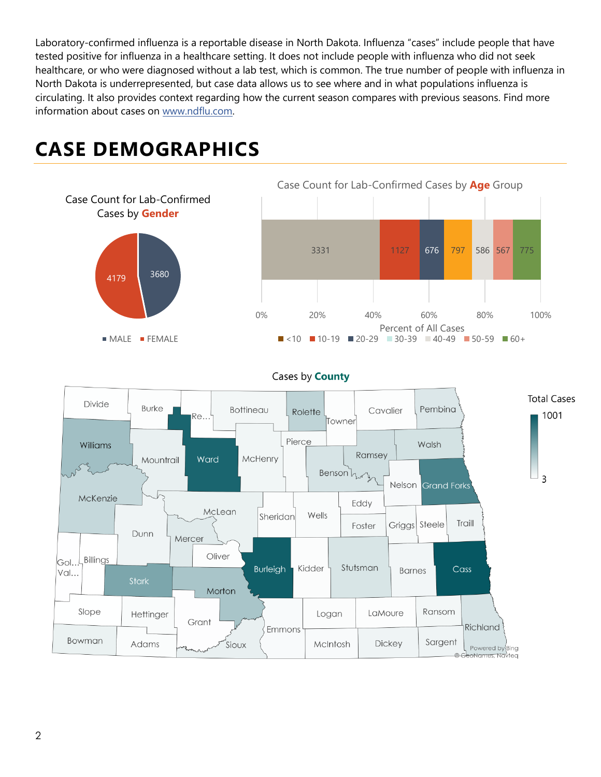Laboratory-confirmed influenza is a reportable disease in North Dakota. Influenza "cases" include people that have tested positive for influenza in a healthcare setting. It does not include people with influenza who did not seek healthcare, or who were diagnosed without a lab test, which is common. The true number of people with influenza in North Dakota is underrepresented, but case data allows us to see where and in what populations influenza is circulating. It also provides context regarding how the current season compares with previous seasons. Find more information about cases on [www.ndflu.com.](file://///nd.gov/doh/DOH-DATA/MSS/DC/PROGRAM/IMMUNE/Immunize/Influenza/Inf18-19/Surveillance/Weekly%20Summaries/www.ndflu.com)



## **CASE DEMOGRAPHICS**



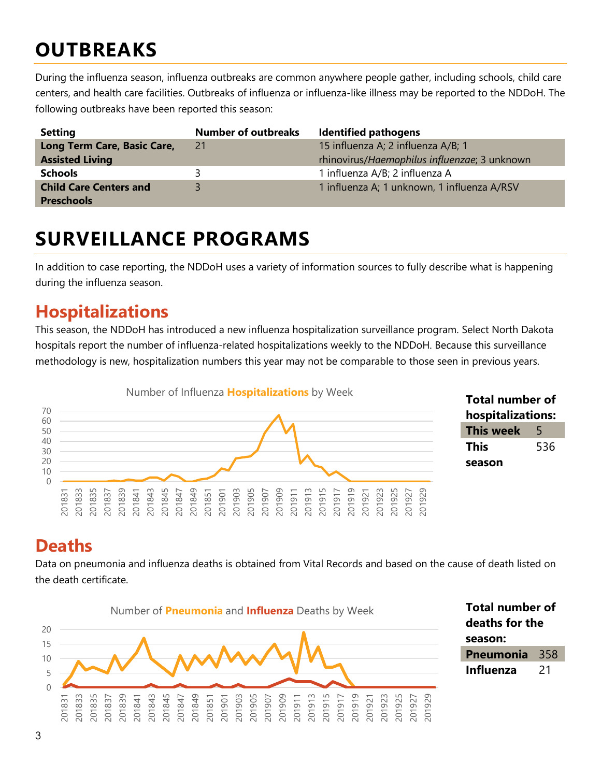# **OUTBREAKS**

During the influenza season, influenza outbreaks are common anywhere people gather, including schools, child care centers, and health care facilities. Outbreaks of influenza or influenza-like illness may be reported to the NDDoH. The following outbreaks have been reported this season:

| <b>Setting</b>                | <b>Number of outbreaks</b> | <b>Identified pathogens</b>                  |
|-------------------------------|----------------------------|----------------------------------------------|
| Long Term Care, Basic Care,   | 21                         | 15 influenza A; 2 influenza A/B; 1           |
| <b>Assisted Living</b>        |                            | rhinovirus/Haemophilus influenzae; 3 unknown |
| <b>Schools</b>                |                            | 1 influenza A/B; 2 influenza A               |
| <b>Child Care Centers and</b> |                            | 1 influenza A; 1 unknown, 1 influenza A/RSV  |
| <b>Preschools</b>             |                            |                                              |

## **SURVEILLANCE PROGRAMS**

In addition to case reporting, the NDDoH uses a variety of information sources to fully describe what is happening during the influenza season.

## **Hospitalizations**

This season, the NDDoH has introduced a new influenza hospitalization surveillance program. Select North Dakota hospitals report the number of influenza-related hospitalizations weekly to the NDDoH. Because this surveillance methodology is new, hospitalization numbers this year may not be comparable to those seen in previous years.





### **Deaths**

Data on pneumonia and influenza deaths is obtained from Vital Records and based on the cause of death listed on the death certificate.

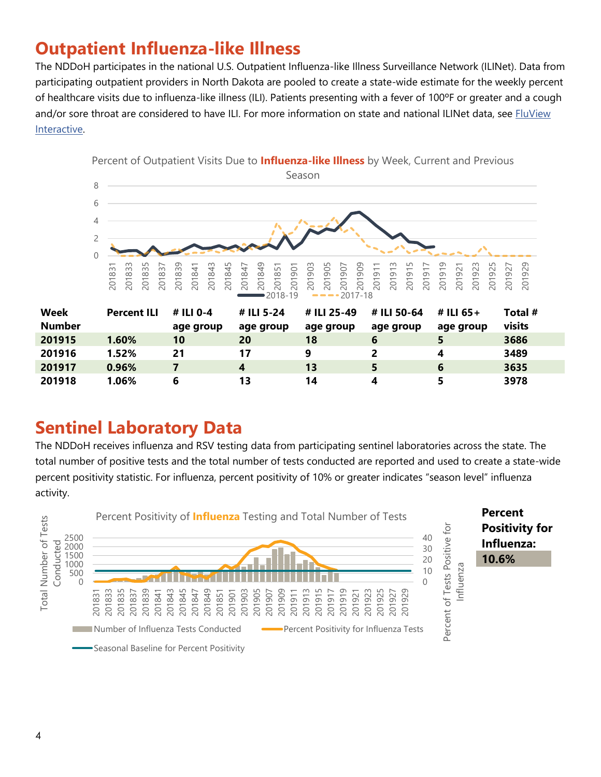## **Outpatient Influenza-like Illness**

The NDDoH participates in the national U.S. Outpatient Influenza-like Illness Surveillance Network (ILINet). Data from participating outpatient providers in North Dakota are pooled to create a state-wide estimate for the weekly percent of healthcare visits due to influenza-like illness (ILI). Patients presenting with a fever of 100ºF or greater and a cough and/or sore throat are considered to have ILI. For more information on state and national ILINet data, see FluView [Interactive.](https://gis.cdc.gov/grasp/fluview/fluportaldashboard.html)



| <b>Sentinel Laboratory Data</b> |  |
|---------------------------------|--|
|                                 |  |
|                                 |  |

The NDDoH receives influenza and RSV testing data from participating sentinel laboratories across the state. The total number of positive tests and the total number of tests conducted are reported and used to create a state-wide percent positivity statistic. For influenza, percent positivity of 10% or greater indicates "season level" influenza activity.

 **0.96% 7 4 13 5 6 3635 1.06% 6 13 14 4 5 3978**

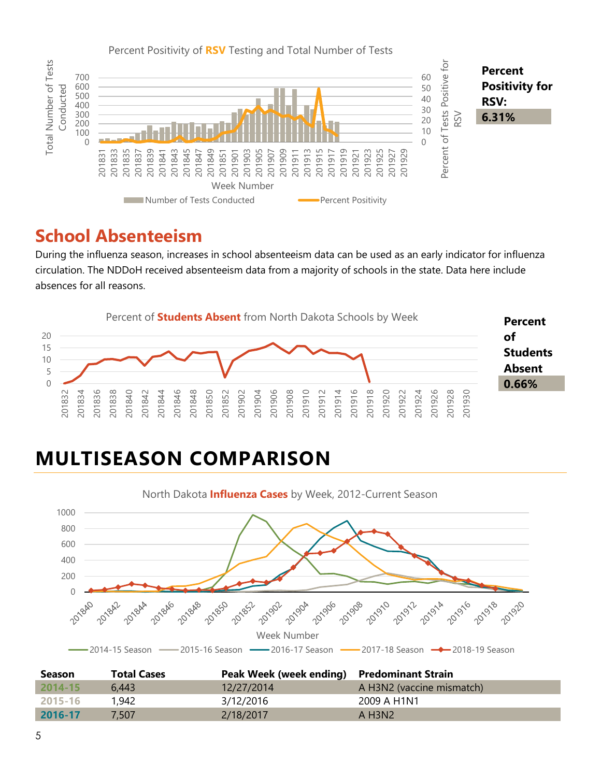

#### **School Absenteeism**

During the influenza season, increases in school absenteeism data can be used as an early indicator for influenza circulation. The NDDoH received absenteeism data from a majority of schools in the state. Data here include absences for all reasons.



# **MULTISEASON COMPARISON**



| <b>Season</b> | <b>Total Cases</b> | Peak Week (week ending) Predominant Strain |                                   |
|---------------|--------------------|--------------------------------------------|-----------------------------------|
| $2014 - 15$   | 6.443              | 12/27/2014                                 | A H3N2 (vaccine mismatch)         |
| 2015-16       | 1,942              | 3/12/2016                                  | 2009 A H1N1                       |
| 2016-17       | 7.507              | 2/18/2017                                  | $A$ H <sub>3</sub> N <sub>2</sub> |